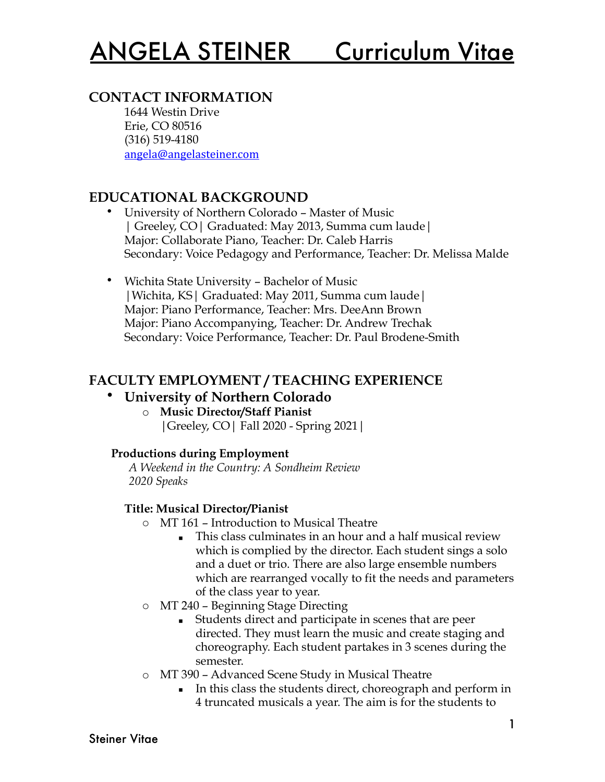# **CONTACT INFORMATION**

1644 Westin Drive Erie, CO 80516 (316) 519-4180 [angela@angelasteiner.com](mailto:angela@angelasteiner.com)

# **EDUCATIONAL BACKGROUND**

- University of Northern Colorado Master of Music | Greeley, CO| Graduated: May 2013, Summa cum laude| Major: Collaborate Piano, Teacher: Dr. Caleb Harris Secondary: Voice Pedagogy and Performance, Teacher: Dr. Melissa Malde
- Wichita State University Bachelor of Music |Wichita, KS| Graduated: May 2011, Summa cum laude| Major: Piano Performance, Teacher: Mrs. DeeAnn Brown Major: Piano Accompanying, Teacher: Dr. Andrew Trechak Secondary: Voice Performance, Teacher: Dr. Paul Brodene-Smith

# **FACULTY EMPLOYMENT / TEACHING EXPERIENCE**

## • **University of Northern Colorado**

o **Music Director/Staff Pianist** |Greeley, CO| Fall 2020 - Spring 2021|

### **Productions during Employment**

*A Weekend in the Country: A Sondheim Review 2020 Speaks* 

### **Title: Musical Director/Pianist**

- o MT 161 Introduction to Musical Theatre
	- **•** This class culminates in an hour and a half musical review which is complied by the director. Each student sings a solo and a duet or trio. There are also large ensemble numbers which are rearranged vocally to fit the needs and parameters of the class year to year.
- o MT 240 Beginning Stage Directing
	- Students direct and participate in scenes that are peer directed. They must learn the music and create staging and choreography. Each student partakes in 3 scenes during the semester.
- o MT 390 Advanced Scene Study in Musical Theatre
	- In this class the students direct, choreograph and perform in 4 truncated musicals a year. The aim is for the students to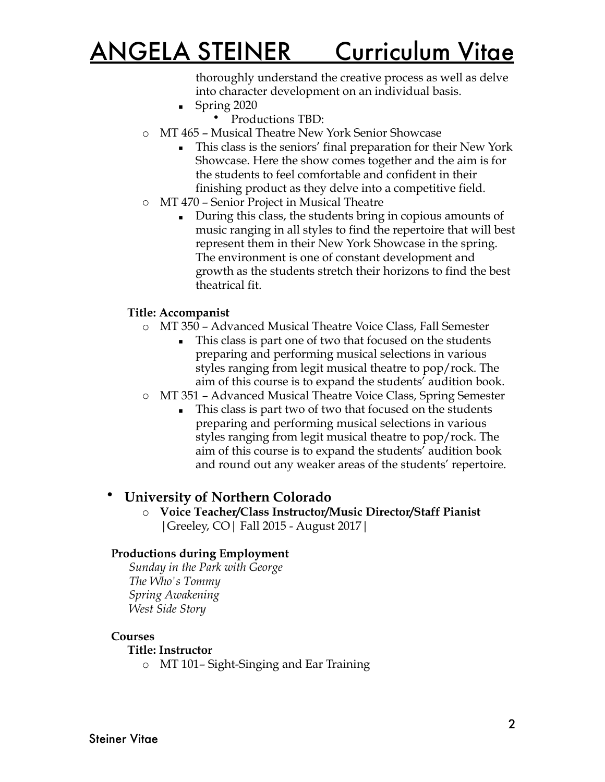thoroughly understand the creative process as well as delve into character development on an individual basis.

- $\blacksquare$  Spring 2020
	- Productions TBD:
- o MT 465 Musical Theatre New York Senior Showcase
	- **This class is the seniors' final preparation for their New York** Showcase. Here the show comes together and the aim is for the students to feel comfortable and confident in their finishing product as they delve into a competitive field.
- o MT 470 Senior Project in Musical Theatre
	- During this class, the students bring in copious amounts of music ranging in all styles to find the repertoire that will best represent them in their New York Showcase in the spring. The environment is one of constant development and growth as the students stretch their horizons to find the best theatrical fit.

#### **Title: Accompanist**

- o MT 350 Advanced Musical Theatre Voice Class, Fall Semester
	- This class is part one of two that focused on the students preparing and performing musical selections in various styles ranging from legit musical theatre to pop/rock. The aim of this course is to expand the students' audition book.
- o MT 351 Advanced Musical Theatre Voice Class, Spring Semester
	- This class is part two of two that focused on the students preparing and performing musical selections in various styles ranging from legit musical theatre to pop/rock. The aim of this course is to expand the students' audition book and round out any weaker areas of the students' repertoire.

## • **University of Northern Colorado**

o **Voice Teacher/Class Instructor/Music Director/Staff Pianist** |Greeley, CO| Fall 2015 - August 2017|

#### **Productions during Employment**

*Sunday in the Park with George The Who's Tommy Spring Awakening West Side Story* 

#### **Courses**

#### **Title: Instructor**

o MT 101– Sight-Singing and Ear Training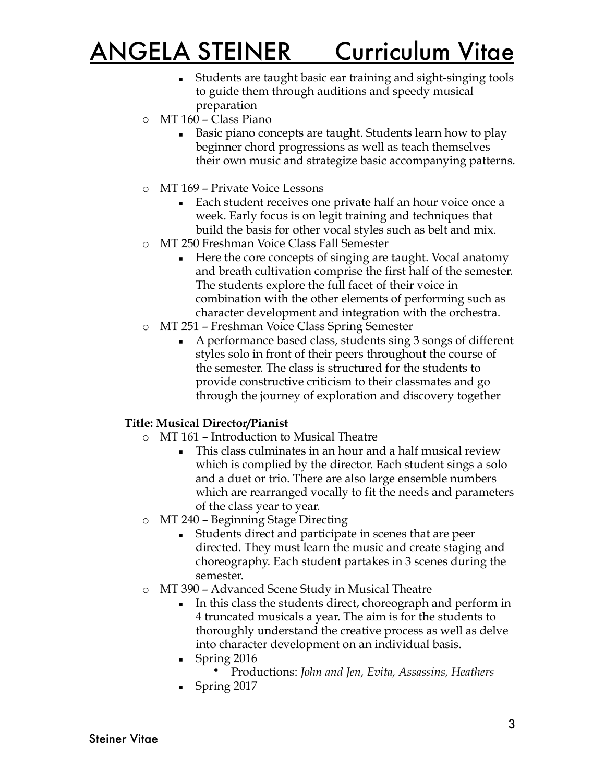- Students are taught basic ear training and sight-singing tools to guide them through auditions and speedy musical preparation
- o MT 160 Class Piano
	- Basic piano concepts are taught. Students learn how to play beginner chord progressions as well as teach themselves their own music and strategize basic accompanying patterns.
- o MT 169 Private Voice Lessons
	- Each student receives one private half an hour voice once a week. Early focus is on legit training and techniques that build the basis for other vocal styles such as belt and mix.
- o MT 250 Freshman Voice Class Fall Semester
	- Here the core concepts of singing are taught. Vocal anatomy and breath cultivation comprise the first half of the semester. The students explore the full facet of their voice in combination with the other elements of performing such as character development and integration with the orchestra.
- o MT 251 Freshman Voice Class Spring Semester
	- A performance based class, students sing 3 songs of different styles solo in front of their peers throughout the course of the semester. The class is structured for the students to provide constructive criticism to their classmates and go through the journey of exploration and discovery together

#### **Title: Musical Director/Pianist**

- o MT 161 Introduction to Musical Theatre
	- **This class culminates in an hour and a half musical review** which is complied by the director. Each student sings a solo and a duet or trio. There are also large ensemble numbers which are rearranged vocally to fit the needs and parameters of the class year to year.
- o MT 240 Beginning Stage Directing
	- Students direct and participate in scenes that are peer directed. They must learn the music and create staging and choreography. Each student partakes in 3 scenes during the semester.
- o MT 390 Advanced Scene Study in Musical Theatre
	- In this class the students direct, choreograph and perform in 4 truncated musicals a year. The aim is for the students to thoroughly understand the creative process as well as delve into character development on an individual basis.
	- Spring 2016
		- Productions: *John and Jen, Evita, Assassins, Heathers*
	- Spring 2017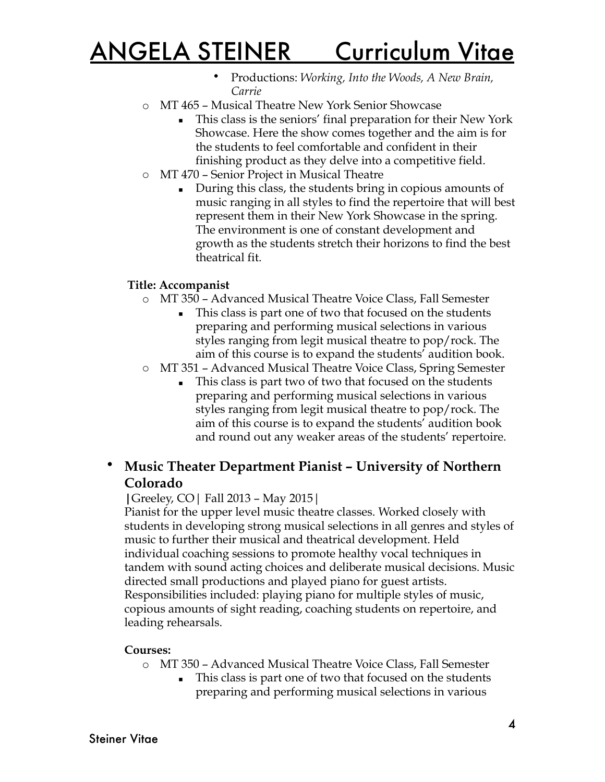- Productions: *Working, Into the Woods, A New Brain, Carrie*
- o MT 465 Musical Theatre New York Senior Showcase
	- **•** This class is the seniors' final preparation for their New York Showcase. Here the show comes together and the aim is for the students to feel comfortable and confident in their finishing product as they delve into a competitive field.
- o MT 470 Senior Project in Musical Theatre
	- During this class, the students bring in copious amounts of music ranging in all styles to find the repertoire that will best represent them in their New York Showcase in the spring. The environment is one of constant development and growth as the students stretch their horizons to find the best theatrical fit.

#### **Title: Accompanist**

- o MT 350 Advanced Musical Theatre Voice Class, Fall Semester
	- This class is part one of two that focused on the students preparing and performing musical selections in various styles ranging from legit musical theatre to pop/rock. The aim of this course is to expand the students' audition book.
- o MT 351 Advanced Musical Theatre Voice Class, Spring Semester
	- This class is part two of two that focused on the students preparing and performing musical selections in various styles ranging from legit musical theatre to pop/rock. The aim of this course is to expand the students' audition book and round out any weaker areas of the students' repertoire.

# • **Music Theater Department Pianist – University of Northern Colorado**

#### **|**Greeley, CO| Fall 2013 – May 2015|

Pianist for the upper level music theatre classes. Worked closely with students in developing strong musical selections in all genres and styles of music to further their musical and theatrical development. Held individual coaching sessions to promote healthy vocal techniques in tandem with sound acting choices and deliberate musical decisions. Music directed small productions and played piano for guest artists. Responsibilities included: playing piano for multiple styles of music, copious amounts of sight reading, coaching students on repertoire, and leading rehearsals.

#### **Courses:**

o MT 350 – Advanced Musical Theatre Voice Class, Fall Semester

■ This class is part one of two that focused on the students preparing and performing musical selections in various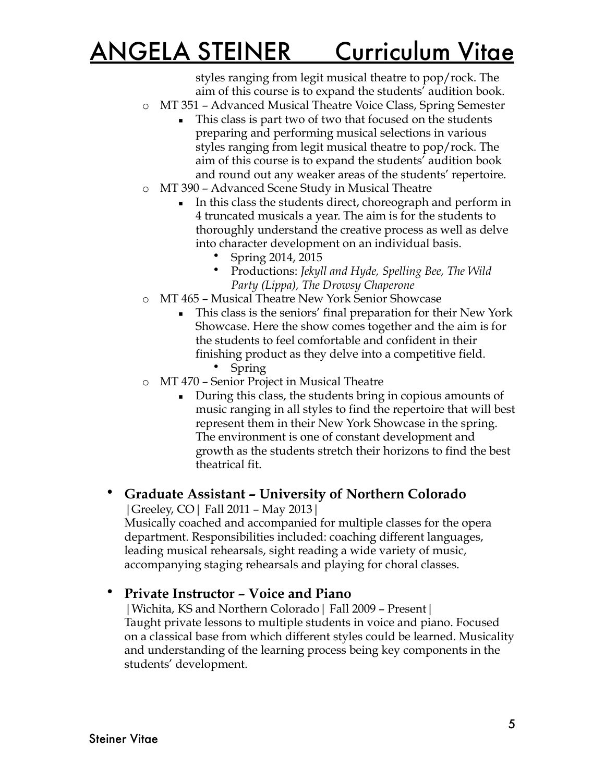styles ranging from legit musical theatre to pop/rock. The aim of this course is to expand the students' audition book.

- o MT 351 Advanced Musical Theatre Voice Class, Spring Semester
	- This class is part two of two that focused on the students preparing and performing musical selections in various styles ranging from legit musical theatre to pop/rock. The aim of this course is to expand the students' audition book and round out any weaker areas of the students' repertoire.
- o MT 390 Advanced Scene Study in Musical Theatre
	- In this class the students direct, choreograph and perform in 4 truncated musicals a year. The aim is for the students to thoroughly understand the creative process as well as delve into character development on an individual basis.
		- Spring 2014, 2015
		- Productions: *Jekyll and Hyde, Spelling Bee, The Wild Party (Lippa), The Drowsy Chaperone*
- o MT 465 Musical Theatre New York Senior Showcase
	- **This class is the seniors' final preparation for their New York** Showcase. Here the show comes together and the aim is for the students to feel comfortable and confident in their finishing product as they delve into a competitive field.
		- Spring
- o MT 470 Senior Project in Musical Theatre
	- During this class, the students bring in copious amounts of music ranging in all styles to find the repertoire that will best represent them in their New York Showcase in the spring. The environment is one of constant development and growth as the students stretch their horizons to find the best theatrical fit.

# • **Graduate Assistant – University of Northern Colorado**

|Greeley, CO| Fall 2011 – May 2013|

Musically coached and accompanied for multiple classes for the opera department. Responsibilities included: coaching different languages, leading musical rehearsals, sight reading a wide variety of music, accompanying staging rehearsals and playing for choral classes.

## • **Private Instructor – Voice and Piano**

|Wichita, KS and Northern Colorado| Fall 2009 – Present| Taught private lessons to multiple students in voice and piano. Focused on a classical base from which different styles could be learned. Musicality and understanding of the learning process being key components in the students' development.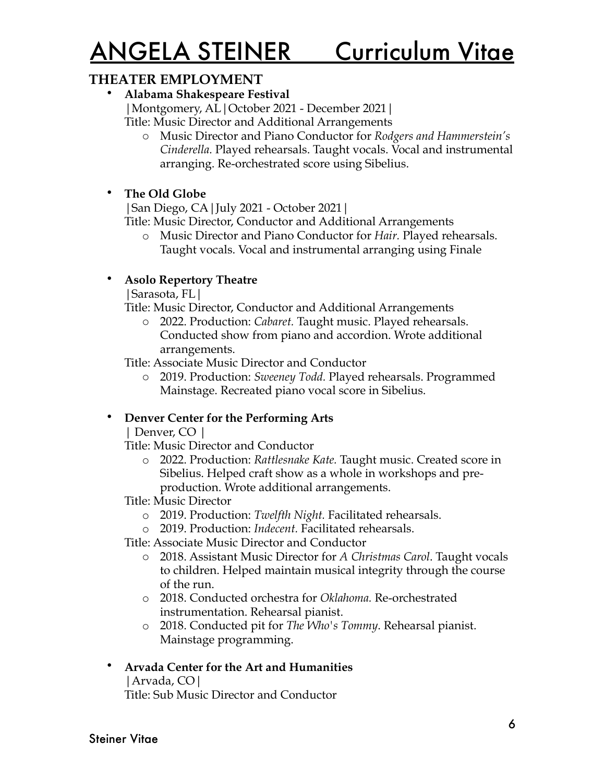### **THEATER EMPLOYMENT**

• **Alabama Shakespeare Festival**

|Montgomery, AL|October 2021 - December 2021|

Title: Music Director and Additional Arrangements

o Music Director and Piano Conductor for *Rodgers and Hammerstein's Cinderella.* Played rehearsals. Taught vocals. Vocal and instrumental arranging. Re-orchestrated score using Sibelius.

### • **The Old Globe**

|San Diego, CA|July 2021 - October 2021|

Title: Music Director, Conductor and Additional Arrangements

o Music Director and Piano Conductor for *Hair.* Played rehearsals. Taught vocals. Vocal and instrumental arranging using Finale

### • **Asolo Repertory Theatre**

|Sarasota, FL|

Title: Music Director, Conductor and Additional Arrangements

2022. Production: *Cabaret*. Taught music. Played rehearsals. Conducted show from piano and accordion. Wrote additional arrangements.

Title: Associate Music Director and Conductor

o 2019. Production: *Sweeney Todd.* Played rehearsals. Programmed Mainstage. Recreated piano vocal score in Sibelius.

## • **Denver Center for the Performing Arts**

| Denver, CO |

Title: Music Director and Conductor

- o 2022. Production: *Rattlesnake Kate.* Taught music. Created score in Sibelius. Helped craft show as a whole in workshops and preproduction. Wrote additional arrangements.
- Title: Music Director
	- o 2019. Production: *Twelfth Night.* Facilitated rehearsals.
	- o 2019. Production: *Indecent.* Facilitated rehearsals.
- Title: Associate Music Director and Conductor
	- o 2018. Assistant Music Director for *A Christmas Carol*. Taught vocals to children. Helped maintain musical integrity through the course of the run.
	- o 2018. Conducted orchestra for *Oklahoma.* Re-orchestrated instrumentation. Rehearsal pianist.
	- o 2018. Conducted pit for *The Who's Tommy*. Rehearsal pianist. Mainstage programming.

### • **Arvada Center for the Art and Humanities**

|Arvada, CO|

Title: Sub Music Director and Conductor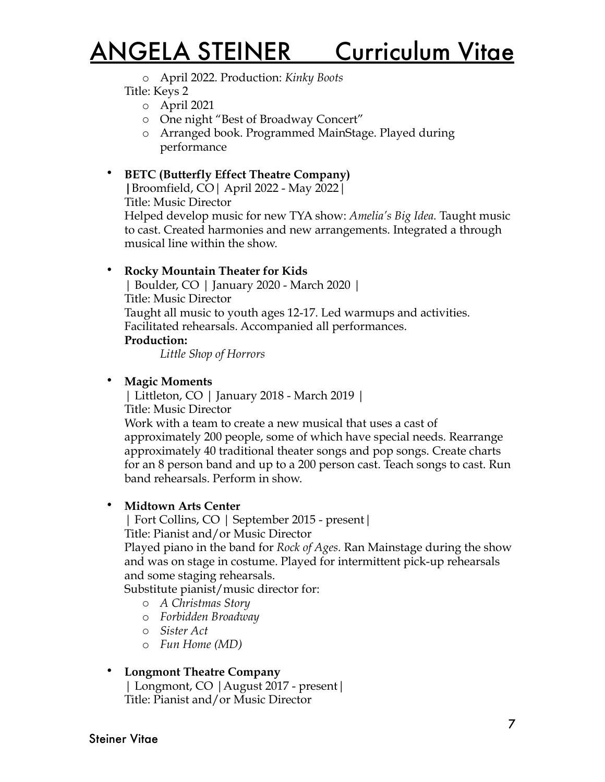o April 2022. Production: *Kinky Boots*

Title: Keys 2

o April 2021

- o One night "Best of Broadway Concert"
- o Arranged book. Programmed MainStage. Played during performance

### • **BETC (Butterfly Effect Theatre Company)**

**|**Broomfield, CO| April 2022 - May 2022| Title: Music Director

Helped develop music for new TYA show: *Amelia's Big Idea.* Taught music to cast. Created harmonies and new arrangements. Integrated a through musical line within the show.

#### • **Rocky Mountain Theater for Kids**

| Boulder, CO | January 2020 - March 2020 | Title: Music Director Taught all music to youth ages 12-17. Led warmups and activities. Facilitated rehearsals. Accompanied all performances.

#### **Production:**

*Little Shop of Horrors*

#### • **Magic Moments**

| Littleton, CO | January 2018 - March 2019 | Title: Music Director Work with a team to create a new musical that uses a cast of approximately 200 people, some of which have special needs. Rearrange approximately 40 traditional theater songs and pop songs. Create charts for an 8 person band and up to a 200 person cast. Teach songs to cast. Run band rehearsals. Perform in show.

#### • **Midtown Arts Center**

| Fort Collins, CO | September 2015 - present| Title: Pianist and/or Music Director

Played piano in the band for *Rock of Ages.* Ran Mainstage during the show and was on stage in costume. Played for intermittent pick-up rehearsals and some staging rehearsals.

Substitute pianist/music director for:

- o *A Christmas Story*
- o *Forbidden Broadway*
- o *Sister Act*
- o *Fun Home (MD)*

#### • **Longmont Theatre Company**

| Longmont, CO |August 2017 - present| Title: Pianist and/or Music Director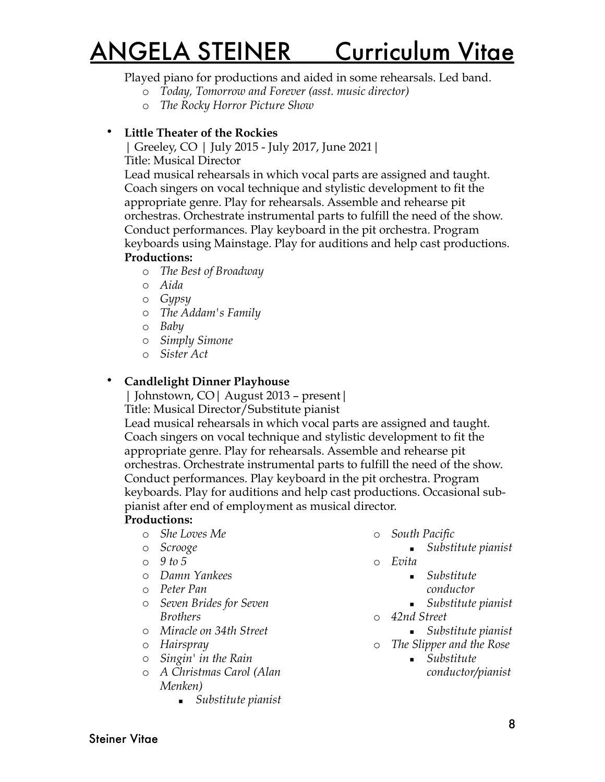#### Played piano for productions and aided in some rehearsals. Led band.

- o *Today, Tomorrow and Forever (asst. music director)*
- o *The Rocky Horror Picture Show*
- **Little Theater of the Rockies**

| Greeley, CO | July 2015 - July 2017, June 2021| Title: Musical Director

Lead musical rehearsals in which vocal parts are assigned and taught. Coach singers on vocal technique and stylistic development to fit the appropriate genre. Play for rehearsals. Assemble and rehearse pit orchestras. Orchestrate instrumental parts to fulfill the need of the show. Conduct performances. Play keyboard in the pit orchestra. Program keyboards using Mainstage. Play for auditions and help cast productions. **Productions:**

- o *The Best of Broadway*
- o *Aida*
- o *Gypsy*
- o *The Addam's Family*
- o *Baby*
- o *Simply Simone*
- o *Sister Act*

#### • **Candlelight Dinner Playhouse**

| Johnstown, CO| August 2013 – present|

Title: Musical Director/Substitute pianist

Lead musical rehearsals in which vocal parts are assigned and taught. Coach singers on vocal technique and stylistic development to fit the appropriate genre. Play for rehearsals. Assemble and rehearse pit orchestras. Orchestrate instrumental parts to fulfill the need of the show. Conduct performances. Play keyboard in the pit orchestra. Program keyboards. Play for auditions and help cast productions. Occasional subpianist after end of employment as musical director.

#### **Productions:**

- o *She Loves Me*
- o *Scrooge*
- o *9 to 5*
- o *Damn Yankees*
- o *Peter Pan*
- o *Seven Brides for Seven Brothers*
- o *Miracle on 34th Street*
- o *Hairspray*
- o *Singin' in the Rain*
- o *A Christmas Carol (Alan Menken)* 
	- *Substitute pianist*
- o *South Pacific*
	- *Substitute pianist*
- o *Evita*
	- *Substitute* 
		- *conductor*
	- *Substitute pianist*
- o *42nd Street*
- *Substitute pianist*
- o *The Slipper and the Rose* ■ *Substitute* 
	- *conductor/pianist*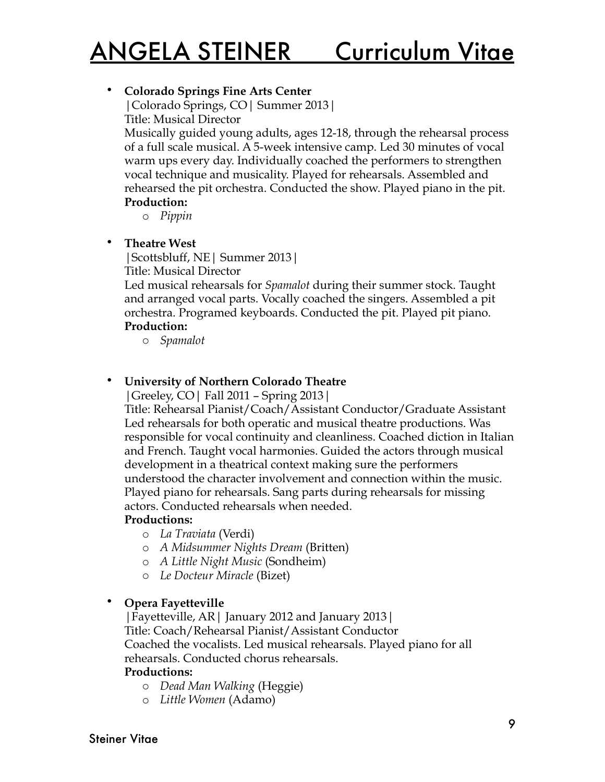### • **Colorado Springs Fine Arts Center**

|Colorado Springs, CO| Summer 2013| Title: Musical Director

Musically guided young adults, ages 12-18, through the rehearsal process of a full scale musical. A 5-week intensive camp. Led 30 minutes of vocal warm ups every day. Individually coached the performers to strengthen vocal technique and musicality. Played for rehearsals. Assembled and rehearsed the pit orchestra. Conducted the show. Played piano in the pit. **Production:** 

o *Pippin*

• **Theatre West**

|Scottsbluff, NE| Summer 2013| Title: Musical Director

Led musical rehearsals for *Spamalot* during their summer stock. Taught and arranged vocal parts. Vocally coached the singers. Assembled a pit orchestra. Programed keyboards. Conducted the pit. Played pit piano. **Production:**

o *Spamalot*

### • **University of Northern Colorado Theatre**

|Greeley, CO| Fall 2011 – Spring 2013|

Title: Rehearsal Pianist/Coach/Assistant Conductor/Graduate Assistant Led rehearsals for both operatic and musical theatre productions. Was responsible for vocal continuity and cleanliness. Coached diction in Italian and French. Taught vocal harmonies. Guided the actors through musical development in a theatrical context making sure the performers understood the character involvement and connection within the music. Played piano for rehearsals. Sang parts during rehearsals for missing actors. Conducted rehearsals when needed.

#### **Productions:**

- o *La Traviata* (Verdi)
- o *A Midsummer Nights Dream* (Britten)
- o *A Little Night Music* (Sondheim)
- o *Le Docteur Miracle* (Bizet)

### • **Opera Fayetteville**

|Fayetteville, AR| January 2012 and January 2013| Title: Coach/Rehearsal Pianist/Assistant Conductor Coached the vocalists. Led musical rehearsals. Played piano for all rehearsals. Conducted chorus rehearsals.

#### **Productions:**

- o *Dead Man Walking* (Heggie)
- o *Little Women* (Adamo)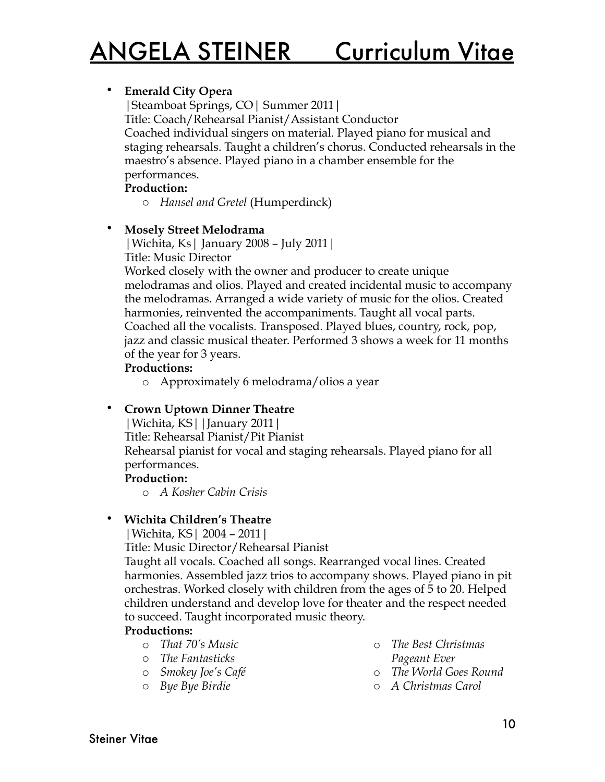#### • **Emerald City Opera**

|Steamboat Springs, CO| Summer 2011| Title: Coach/Rehearsal Pianist/Assistant Conductor Coached individual singers on material. Played piano for musical and staging rehearsals. Taught a children's chorus. Conducted rehearsals in the maestro's absence. Played piano in a chamber ensemble for the performances.

#### **Production:**

o *Hansel and Gretel* (Humperdinck)

#### • **Mosely Street Melodrama**

|Wichita, Ks| January 2008 – July 2011| Title: Music Director

Worked closely with the owner and producer to create unique melodramas and olios. Played and created incidental music to accompany the melodramas. Arranged a wide variety of music for the olios. Created harmonies, reinvented the accompaniments. Taught all vocal parts. Coached all the vocalists. Transposed. Played blues, country, rock, pop, jazz and classic musical theater. Performed 3 shows a week for 11 months of the year for 3 years.

#### **Productions:**

o Approximately 6 melodrama/olios a year

#### • **Crown Uptown Dinner Theatre**

|Wichita, KS||January 2011| Title: Rehearsal Pianist/Pit Pianist Rehearsal pianist for vocal and staging rehearsals. Played piano for all performances.

#### **Production:**

o *A Kosher Cabin Crisis*

#### • **Wichita Children's Theatre**

|Wichita, KS| 2004 – 2011|

Title: Music Director/Rehearsal Pianist

Taught all vocals. Coached all songs. Rearranged vocal lines. Created harmonies. Assembled jazz trios to accompany shows. Played piano in pit orchestras. Worked closely with children from the ages of 5 to 20. Helped children understand and develop love for theater and the respect needed to succeed. Taught incorporated music theory.

#### **Productions:**

- o *That 70's Music*
- o *The Fantasticks*
- o *Smokey Joe's Café*
- o *Bye Bye Birdie*
- o *The Best Christmas Pageant Ever*
- o *The World Goes Round*
- o *A Christmas Carol*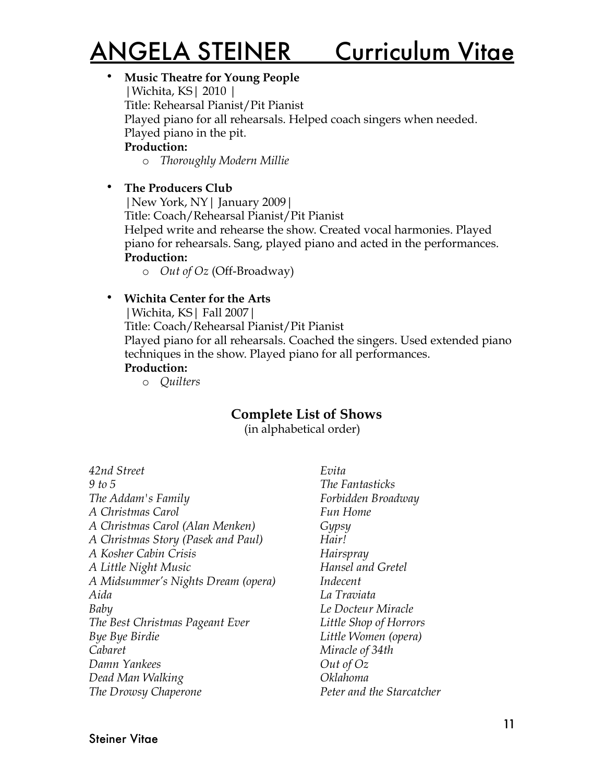#### • **Music Theatre for Young People**

|Wichita, KS| 2010 | Title: Rehearsal Pianist/Pit Pianist Played piano for all rehearsals. Helped coach singers when needed. Played piano in the pit. **Production:**

o *Thoroughly Modern Millie*

#### • **The Producers Club**

|New York, NY| January 2009|

Title: Coach/Rehearsal Pianist/Pit Pianist

Helped write and rehearse the show. Created vocal harmonies. Played piano for rehearsals. Sang, played piano and acted in the performances. **Production:**

o *Out of Oz* (Off-Broadway)

### • **Wichita Center for the Arts**

|Wichita, KS| Fall 2007|

Title: Coach/Rehearsal Pianist/Pit Pianist

Played piano for all rehearsals. Coached the singers. Used extended piano techniques in the show. Played piano for all performances.

#### **Production:**

o *Quilters*

# **Complete List of Shows**

(in alphabetical order)

| 42nd Street                        |
|------------------------------------|
| 9 to 5                             |
| The Addam's Family                 |
| A Christmas Carol                  |
| A Christmas Carol (Alan Menken)    |
| A Christmas Story (Pasek and Paul) |
| A Kosher Cabin Crisis              |
| A Little Night Music               |
| A Midsummer's Nights Dream (opera) |
| Aida                               |
| Baby                               |
| The Best Christmas Pageant Ever    |
| Bye Bye Birdie                     |
| Cabaret                            |
| Damn Yankees                       |
| Dead Man Walking                   |
| The Drowsy Chaperone               |
|                                    |

*Evita The Fantasticks Forbidden Broadway Fun Home Gypsy Hair! Hairspray Hansel and Gretel Indecent La Traviata Le Docteur Miracle Little Shop of Horrors Little Women (opera) Miracle of 34th Out of Oz Oklahoma Peter and the Starcatcher*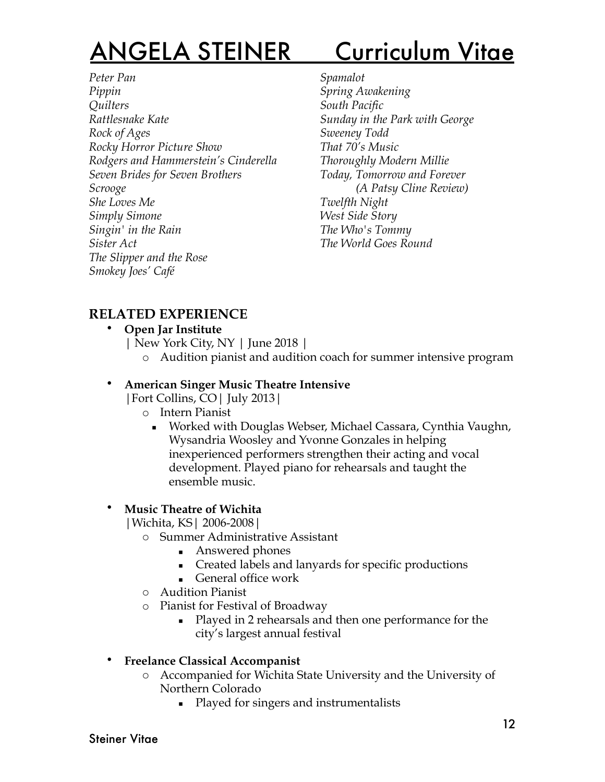*Peter Pan Pippin Quilters Rattlesnake Kate Rock of Ages Rocky Horror Picture Show Rodgers and Hammerstein's Cinderella Seven Brides for Seven Brothers Scrooge She Loves Me Simply Simone Singin' in the Rain Sister Act The Slipper and the Rose Smokey Joes' Café*

*Spamalot Spring Awakening South Pacific Sunday in the Park with George Sweeney Todd That 70's Music Thoroughly Modern Millie Today, Tomorrow and Forever (A Patsy Cline Review) Twelfth Night West Side Story The Who's Tommy The World Goes Round*

# **RELATED EXPERIENCE**

- **Open Jar Institute**
	- | New York City, NY | June 2018 |
		- o Audition pianist and audition coach for summer intensive program

### • **American Singer Music Theatre Intensive**

|Fort Collins, CO| July 2013|

- o Intern Pianist
	- Worked with Douglas Webser, Michael Cassara, Cynthia Vaughn, Wysandria Woosley and Yvonne Gonzales in helping inexperienced performers strengthen their acting and vocal development. Played piano for rehearsals and taught the ensemble music.

### • **Music Theatre of Wichita**

|Wichita, KS| 2006-2008|

- o Summer Administrative Assistant
	- Answered phones
	- Created labels and lanyards for specific productions
	- **EXECUTE:** General office work
- o Audition Pianist
- o Pianist for Festival of Broadway
	- Played in 2 rehearsals and then one performance for the city's largest annual festival

#### • **Freelance Classical Accompanist**

- o Accompanied for Wichita State University and the University of Northern Colorado
	- Played for singers and instrumentalists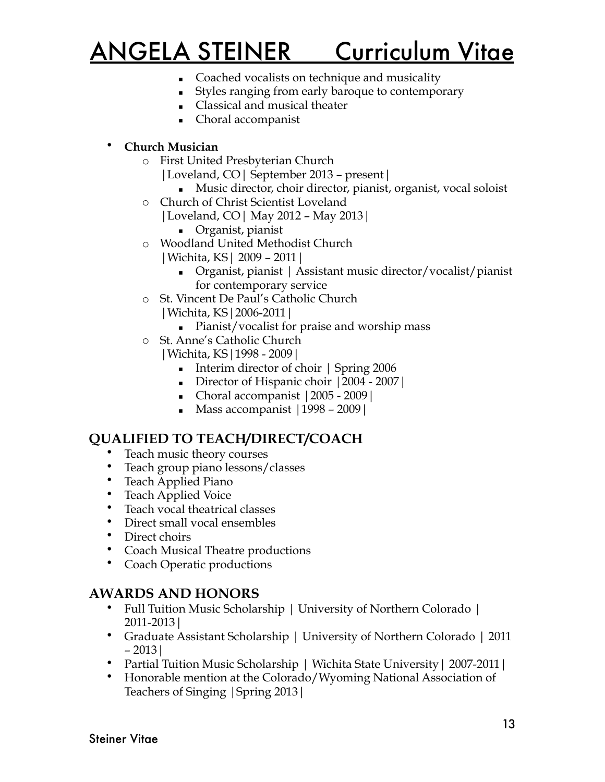- **Coached vocalists on technique and musicality**
- Styles ranging from early baroque to contemporary
- Classical and musical theater
- Choral accompanist

#### • **Church Musician**

- o First United Presbyterian Church
	- |Loveland, CO| September 2013 present|
		- Music director, choir director, pianist, organist, vocal soloist
- o Church of Christ Scientist Loveland |Loveland, CO| May 2012 – May 2013|
	- Organist, pianist
- o Woodland United Methodist Church
	- |Wichita, KS| 2009 2011|
		- Organist, pianist | Assistant music director/vocalist/pianist for contemporary service
- o St. Vincent De Paul's Catholic Church |Wichita, KS|2006-2011|
	- Pianist/vocalist for praise and worship mass
- o St. Anne's Catholic Church |Wichita, KS|1998 - 2009|
	- Interim director of choir | Spring 2006
	- Director of Hispanic choir | 2004 2007 |
	- Choral accompanist  $|2005 2009|$
	- Mass accompanist  $|1998 2009|$

## **QUALIFIED TO TEACH/DIRECT/COACH**

- Teach music theory courses
- Teach group piano lessons/classes
- Teach Applied Piano
- Teach Applied Voice
- Teach vocal theatrical classes
- Direct small vocal ensembles
- Direct choirs
- Coach Musical Theatre productions
- Coach Operatic productions

## **AWARDS AND HONORS**

- Full Tuition Music Scholarship | University of Northern Colorado | 2011-2013|
- Graduate Assistant Scholarship | University of Northern Colorado | 2011 – 2013|
- Partial Tuition Music Scholarship | Wichita State University | 2007-2011 |
- Honorable mention at the Colorado/Wyoming National Association of Teachers of Singing |Spring 2013|